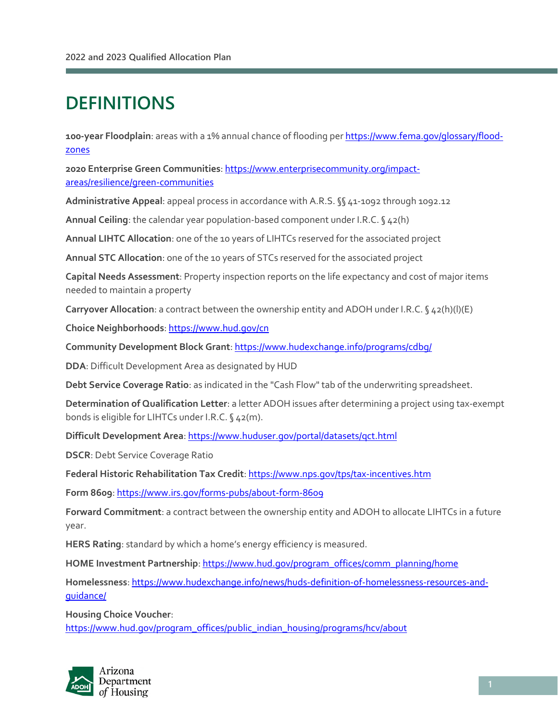## **DEFINITIONS**

l

**100-year Floodplain**: areas with a 1% annual chance of flooding pe[r https://www.fema.gov/glossary/flood](https://www.fema.gov/glossary/flood-zones)[zones](https://www.fema.gov/glossary/flood-zones) 

**2020 Enterprise Green Communities**: [https://www.enterprisecommunity.org/impact](https://www.enterprisecommunity.org/impact-areas/resilience/green-communities)[areas/resilience/green-communities](https://www.enterprisecommunity.org/impact-areas/resilience/green-communities) 

**Administrative Appeal**: appeal process in accordance with A.R.S. §§41-1092 through 1092.12

**Annual Ceiling**: the calendar year population-based component under I.R.C. § 42(h)

**Annual LIHTC Allocation**: one of the 10 years of LIHTCs reserved for the associated project

**Annual STC Allocation**: one of the 10 years of STCs reserved for the associated project

**Capital Needs Assessment**: Property inspection reports on the life expectancy and cost of major items needed to maintain a property

**Carryover Allocation**: a contract between the ownership entity and ADOH under I.R.C. § 42(h)(l)(E)

**Choice Neighborhoods**[: https://www.hud.gov/cn](https://www.hud.gov/cn) 

**Community Development Block Grant**[: https://www.hudexchange.info/programs/cdbg/](https://www.hudexchange.info/programs/cdbg/) 

**DDA**: Difficult Development Area as designated by HUD

**Debt Service Coverage Ratio**: as indicated in the "Cash Flow" tab of the underwriting spreadsheet.

**Determination of Qualification Letter**: a letter ADOH issues after determining a project using tax-exempt bonds is eligible for LIHTCs under I.R.C. § 42(m).

**Difficult Development Area**[: https://www.huduser.gov/portal/datasets/qct.html](https://www.huduser.gov/portal/datasets/qct.html) 

**DSCR**: Debt Service Coverage Ratio

**Federal Historic Rehabilitation Tax Credit**[: https://www.nps.gov/tps/tax-incentives.htm](https://www.nps.gov/tps/tax-incentives.htm) 

**Form 8609**[: https://www.irs.gov/forms-pubs/about-form-8609](https://www.irs.gov/forms-pubs/about-form-8609) 

**Forward Commitment**: a contract between the ownership entity and ADOH to allocate LIHTCs in a future year.

**HERS Rating**: standard by which a home's energy efficiency is measured.

**HOME Investment Partnership**[: https://www.hud.gov/program\\_offices/comm\\_planning/home](https://www.hud.gov/program_offices/comm_planning/home) 

**Homelessness**[: https://www.hudexchange.info/news/huds-definition-of-homelessness-resources-and](https://www.hudexchange.info/news/huds-definition-of-homelessness-resources-and-guidance/)[guidance/](https://www.hudexchange.info/news/huds-definition-of-homelessness-resources-and-guidance/) 

**Housing Choice Voucher**: [https://www.hud.gov/program\\_offices/public\\_indian\\_housing/programs/hcv/about](https://www.hud.gov/program_offices/public_indian_housing/programs/hcv/about) 

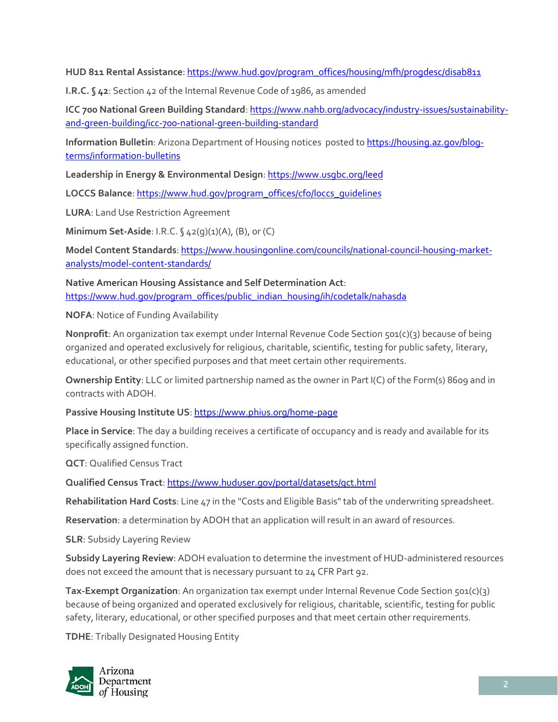**HUD 811 Rental Assistance**[: https://www.hud.gov/program\\_offices/housing/mfh/progdesc/disab811](https://www.hud.gov/program_offices/housing/mfh/progdesc/disab811) 

**I.R.C. § 42**: Section 42 of the Internal Revenue Code of 1986, as amended

**ICC 700 National Green Building Standard**[: https://www.nahb.org/advocacy/industry-issues/sustainability](https://www.nahb.org/advocacy/industry-issues/sustainability-and-green-building/icc-700-national-green-building-standard)[and-green-building/icc-700-national-green-building-standard](https://www.nahb.org/advocacy/industry-issues/sustainability-and-green-building/icc-700-national-green-building-standard) 

**Information Bulletin**: Arizona Department of Housing notices posted t[o https://housing.az.gov/blog](https://housing.az.gov/blog-terms/information-bulletins)[terms/information-bulletins](https://housing.az.gov/blog-terms/information-bulletins) 

**Leadership in Energy & Environmental Design**:<https://www.usgbc.org/leed>

**LOCCS Balance**: [https://www.hud.gov/program\\_offices/cfo/loccs\\_guidelines](https://www.hud.gov/program_offices/cfo/loccs_guidelines) 

**LURA**: Land Use Restriction Agreement

**Minimum Set-Aside**: I.R.C. § 42(q)(1)(A), (B), or (C)

**Model Content Standards**: [https://www.housingonline.com/councils/national-council-housing-market](https://www.housingonline.com/councils/national-council-housing-market-analysts/model-content-standards/)[analysts/model-content-standards/](https://www.housingonline.com/councils/national-council-housing-market-analysts/model-content-standards/) 

**Native American Housing Assistance and Self Determination Act**: [https://www.hud.gov/program\\_offices/public\\_indian\\_housing/ih/codetalk/nahasda](https://www.hud.gov/program_offices/public_indian_housing/ih/codetalk/nahasda) 

**NOFA**: Notice of Funding Availability

**Nonprofit**: An organization tax exempt under Internal Revenue Code Section 501(c)(3) because of being organized and operated exclusively for religious, charitable, scientific, testing for public safety, literary, educational, or other specified purposes and that meet certain other requirements.

**Ownership Entity**: LLC or limited partnership named as the owner in Part I(C) of the Form(s) 8609 and in contracts with ADOH.

Passive Housing Institute US: https://www.phius.org/home-page

**Place in Service**: The day a building receives a certificate of occupancy and is ready and available for its specifically assigned function.

**QCT**: Qualified Census Tract

**Qualified Census Tract**[: https://www.huduser.gov/portal/datasets/qct.html](https://www.huduser.gov/portal/datasets/qct.html) 

**Rehabilitation Hard Costs**: Line 47 in the "Costs and Eligible Basis" tab of the underwriting spreadsheet.

**Reservation**: a determination by ADOH that an application will result in an award of resources.

**SLR**: Subsidy Layering Review

**Subsidy Layering Review**: ADOH evaluation to determine the investment of HUD-administered resources does not exceed the amount that is necessary pursuant to 24 CFR Part 92.

**Tax-Exempt Organization**: An organization tax exempt under Internal Revenue Code Section 501(c)(3) because of being organized and operated exclusively for religious, charitable, scientific, testing for public safety, literary, educational, or other specified purposes and that meet certain other requirements.

**TDHE**: Tribally Designated Housing Entity